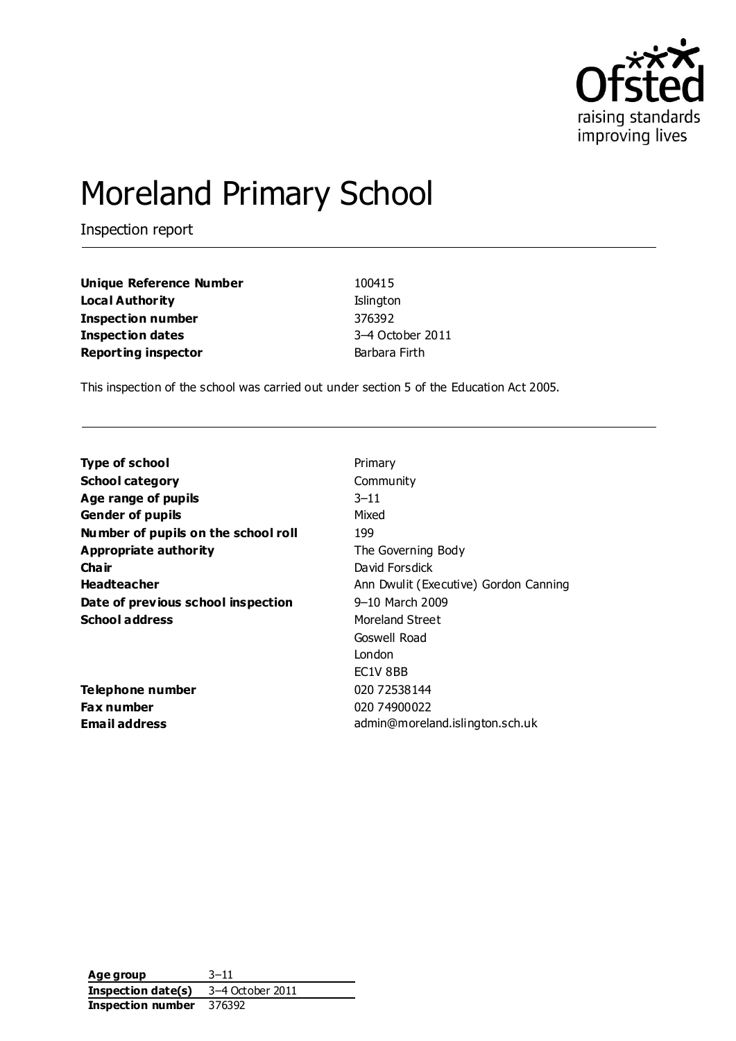

# Moreland Primary School

Inspection report

**Unique Reference Number** 100415 **Local Authority Islington Inspection number** 376392 **Inspection dates** 3–4 October 2011 **Reporting inspector Barbara Firth** 

This inspection of the school was carried out under section 5 of the Education Act 2005.

| <b>Type of school</b>               | Primary                               |
|-------------------------------------|---------------------------------------|
| <b>School category</b>              | Community                             |
| Age range of pupils                 | $3 - 11$                              |
| <b>Gender of pupils</b>             | Mixed                                 |
| Number of pupils on the school roll | 199                                   |
| <b>Appropriate authority</b>        | The Governing Body                    |
| Cha ir                              | David Forsdick                        |
| <b>Headteacher</b>                  | Ann Dwulit (Executive) Gordon Canning |
| Date of previous school inspection  | 9-10 March 2009                       |
| <b>School address</b>               | Moreland Street                       |
|                                     | Goswell Road                          |
|                                     | London                                |
|                                     | EC1V 8BB                              |
| Telephone number                    | 020 72538144                          |
| <b>Fax number</b>                   | 020 74900022                          |
| <b>Email address</b>                | admin@moreland.islington.sch.uk       |

**Age group** 3–11 **Inspection date(s)** 3–4 October 2011 **Inspection number** 376392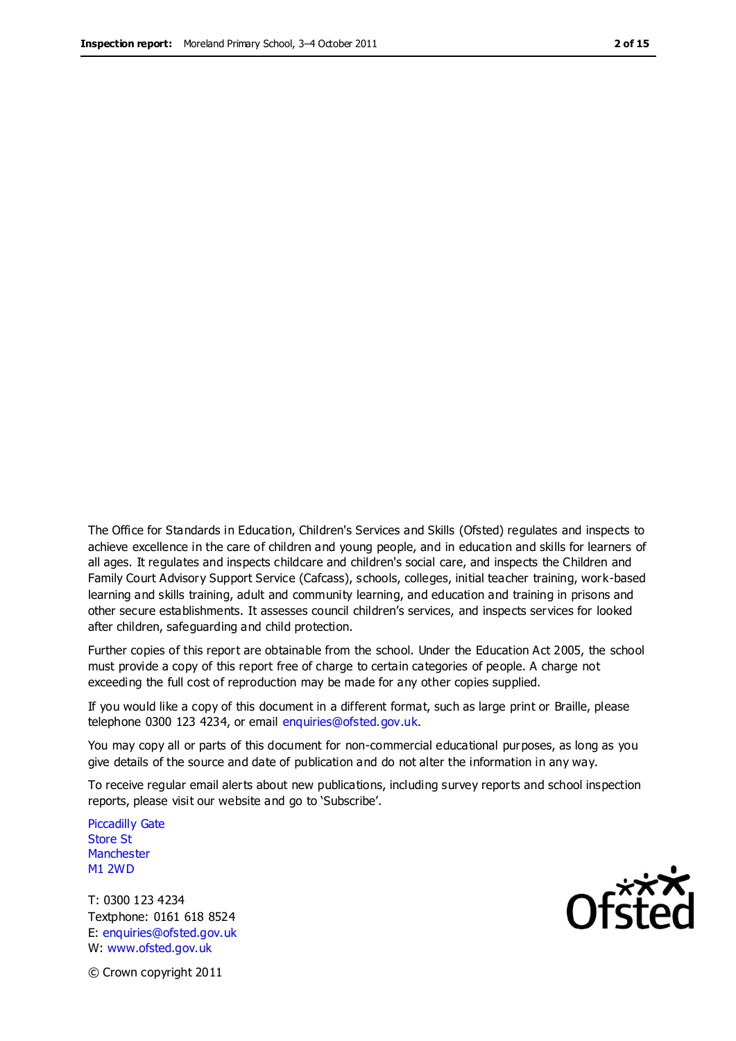The Office for Standards in Education, Children's Services and Skills (Ofsted) regulates and inspects to achieve excellence in the care of children and young people, and in education and skills for learners of all ages. It regulates and inspects childcare and children's social care, and inspects the Children and Family Court Advisory Support Service (Cafcass), schools, colleges, initial teacher training, work-based learning and skills training, adult and community learning, and education and training in prisons and other secure establishments. It assesses council children's services, and inspects services for looked after children, safeguarding and child protection.

Further copies of this report are obtainable from the school. Under the Education Act 2005, the school must provide a copy of this report free of charge to certain categories of people. A charge not exceeding the full cost of reproduction may be made for any other copies supplied.

If you would like a copy of this document in a different format, such as large print or Braille, please telephone 0300 123 4234, or email enquiries@ofsted.gov.uk.

You may copy all or parts of this document for non-commercial educational purposes, as long as you give details of the source and date of publication and do not alter the information in any way.

To receive regular email alerts about new publications, including survey reports and school inspection reports, please visit our website and go to 'Subscribe'.

Piccadilly Gate Store St **Manchester** M1 2WD

T: 0300 123 4234 Textphone: 0161 618 8524 E: enquiries@ofsted.gov.uk W: www.ofsted.gov.uk

**Ofsted** 

© Crown copyright 2011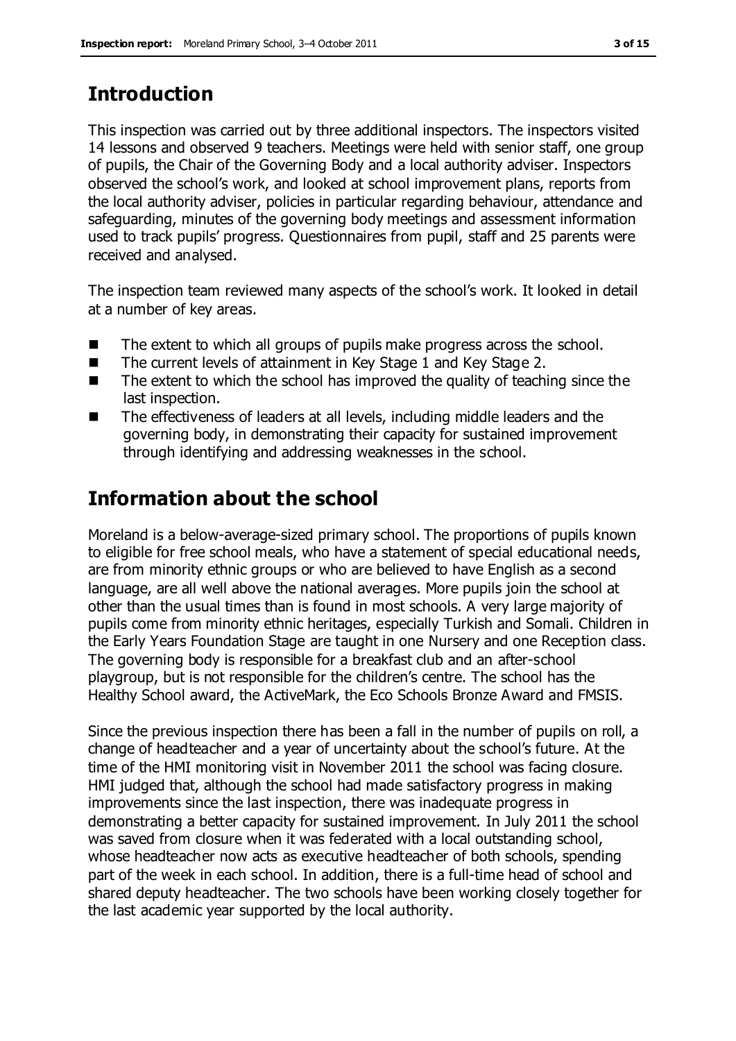# **Introduction**

This inspection was carried out by three additional inspectors. The inspectors visited 14 lessons and observed 9 teachers. Meetings were held with senior staff, one group of pupils, the Chair of the Governing Body and a local authority adviser. Inspectors observed the school's work, and looked at school improvement plans, reports from the local authority adviser, policies in particular regarding behaviour, attendance and safeguarding, minutes of the governing body meetings and assessment information used to track pupils' progress. Questionnaires from pupil, staff and 25 parents were received and analysed.

The inspection team reviewed many aspects of the school's work. It looked in detail at a number of key areas.

- The extent to which all groups of pupils make progress across the school.
- The current levels of attainment in Key Stage 1 and Key Stage 2.
- $\blacksquare$  The extent to which the school has improved the quality of teaching since the last inspection.
- The effectiveness of leaders at all levels, including middle leaders and the governing body, in demonstrating their capacity for sustained improvement through identifying and addressing weaknesses in the school.

# **Information about the school**

Moreland is a below-average-sized primary school. The proportions of pupils known to eligible for free school meals, who have a statement of special educational needs, are from minority ethnic groups or who are believed to have English as a second language, are all well above the national averages. More pupils join the school at other than the usual times than is found in most schools. A very large majority of pupils come from minority ethnic heritages, especially Turkish and Somali. Children in the Early Years Foundation Stage are taught in one Nursery and one Reception class. The governing body is responsible for a breakfast club and an after-school playgroup, but is not responsible for the children's centre. The school has the Healthy School award, the ActiveMark, the Eco Schools Bronze Award and FMSIS.

Since the previous inspection there has been a fall in the number of pupils on roll, a change of headteacher and a year of uncertainty about the school's future. At the time of the HMI monitoring visit in November 2011 the school was facing closure. HMI judged that, although the school had made satisfactory progress in making improvements since the last inspection, there was inadequate progress in demonstrating a better capacity for sustained improvement. In July 2011 the school was saved from closure when it was federated with a local outstanding school, whose headteacher now acts as executive headteacher of both schools, spending part of the week in each school. In addition, there is a full-time head of school and shared deputy headteacher. The two schools have been working closely together for the last academic year supported by the local authority.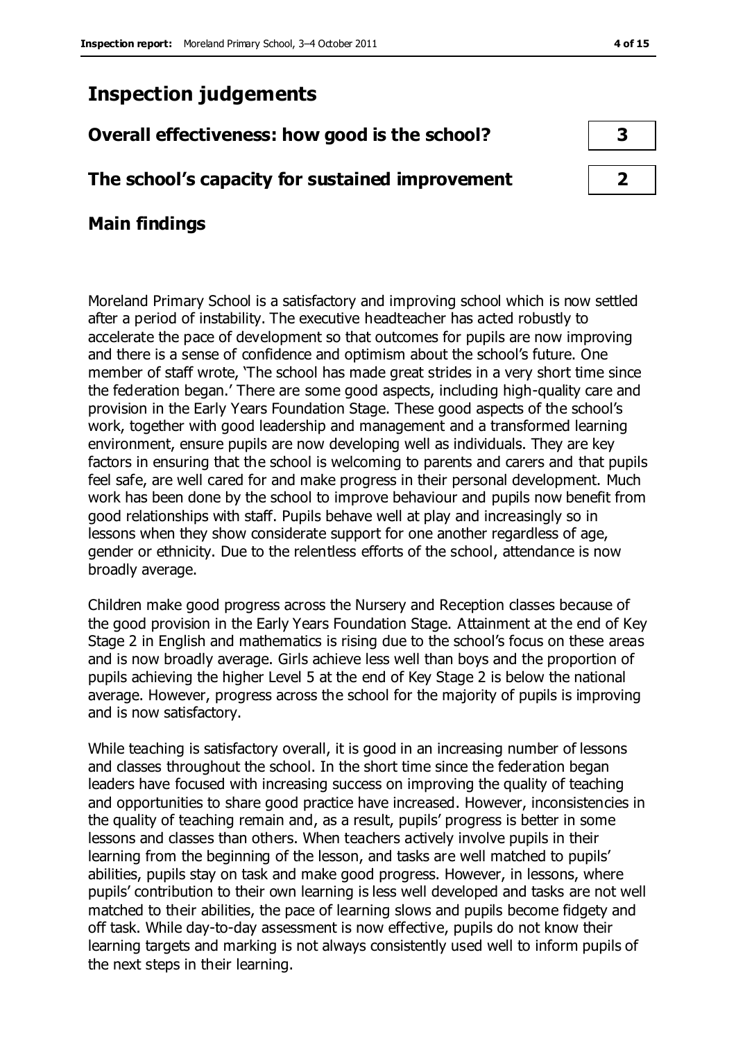## **Inspection judgements**

## **Overall effectiveness: how good is the school? 3**

### **The school's capacity for sustained improvement 2**

## **Main findings**

Moreland Primary School is a satisfactory and improving school which is now settled after a period of instability. The executive headteacher has acted robustly to accelerate the pace of development so that outcomes for pupils are now improving and there is a sense of confidence and optimism about the school's future. One member of staff wrote, 'The school has made great strides in a very short time since the federation began.' There are some good aspects, including high-quality care and provision in the Early Years Foundation Stage. These good aspects of the school's work, together with good leadership and management and a transformed learning environment, ensure pupils are now developing well as individuals. They are key factors in ensuring that the school is welcoming to parents and carers and that pupils feel safe, are well cared for and make progress in their personal development. Much work has been done by the school to improve behaviour and pupils now benefit from good relationships with staff. Pupils behave well at play and increasingly so in lessons when they show considerate support for one another regardless of age, gender or ethnicity. Due to the relentless efforts of the school, attendance is now broadly average.

Children make good progress across the Nursery and Reception classes because of the good provision in the Early Years Foundation Stage. Attainment at the end of Key Stage 2 in English and mathematics is rising due to the school's focus on these areas and is now broadly average. Girls achieve less well than boys and the proportion of pupils achieving the higher Level 5 at the end of Key Stage 2 is below the national average. However, progress across the school for the majority of pupils is improving and is now satisfactory.

While teaching is satisfactory overall, it is good in an increasing number of lessons and classes throughout the school. In the short time since the federation began leaders have focused with increasing success on improving the quality of teaching and opportunities to share good practice have increased. However, inconsistencies in the quality of teaching remain and, as a result, pupils' progress is better in some lessons and classes than others. When teachers actively involve pupils in their learning from the beginning of the lesson, and tasks are well matched to pupils' abilities, pupils stay on task and make good progress. However, in lessons, where pupils' contribution to their own learning is less well developed and tasks are not well matched to their abilities, the pace of learning slows and pupils become fidgety and off task. While day-to-day assessment is now effective, pupils do not know their learning targets and marking is not always consistently used well to inform pupils of the next steps in their learning.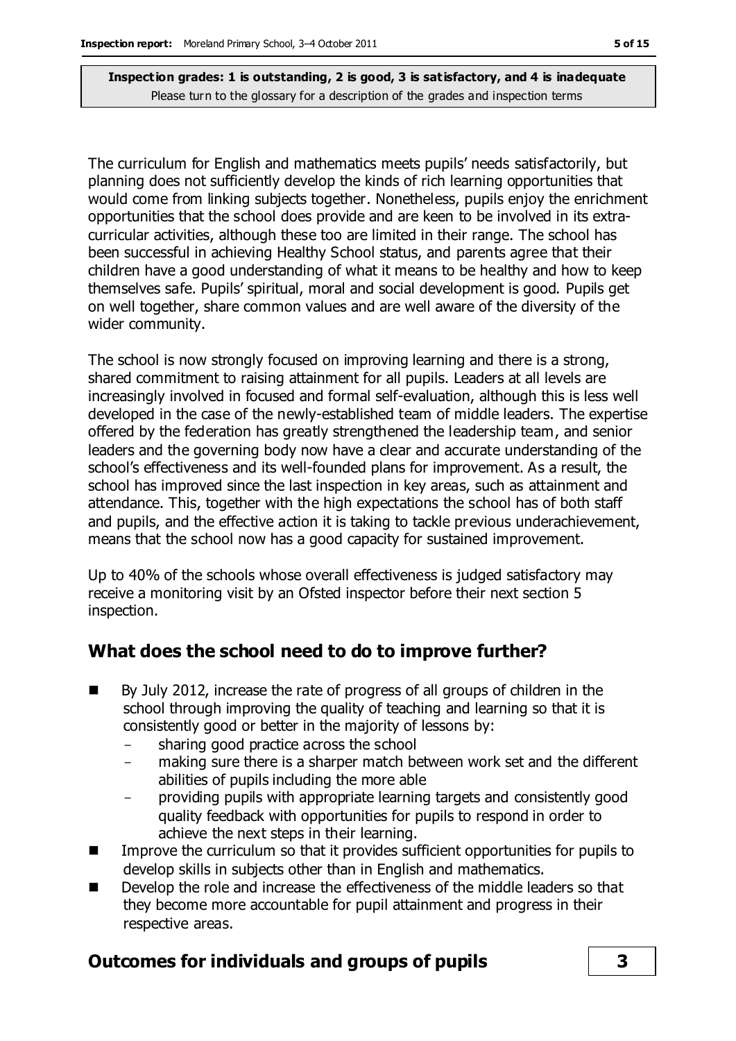The curriculum for English and mathematics meets pupils' needs satisfactorily, but planning does not sufficiently develop the kinds of rich learning opportunities that would come from linking subjects together. Nonetheless, pupils enjoy the enrichment opportunities that the school does provide and are keen to be involved in its extracurricular activities, although these too are limited in their range. The school has been successful in achieving Healthy School status, and parents agree that their children have a good understanding of what it means to be healthy and how to keep themselves safe. Pupils' spiritual, moral and social development is good. Pupils get on well together, share common values and are well aware of the diversity of the wider community.

The school is now strongly focused on improving learning and there is a strong, shared commitment to raising attainment for all pupils. Leaders at all levels are increasingly involved in focused and formal self-evaluation, although this is less well developed in the case of the newly-established team of middle leaders. The expertise offered by the federation has greatly strengthened the leadership team, and senior leaders and the governing body now have a clear and accurate understanding of the school's effectiveness and its well-founded plans for improvement. As a result, the school has improved since the last inspection in key areas, such as attainment and attendance. This, together with the high expectations the school has of both staff and pupils, and the effective action it is taking to tackle previous underachievement, means that the school now has a good capacity for sustained improvement.

Up to 40% of the schools whose overall effectiveness is judged satisfactory may receive a monitoring visit by an Ofsted inspector before their next section 5 inspection.

## **What does the school need to do to improve further?**

- By July 2012, increase the rate of progress of all groups of children in the school through improving the quality of teaching and learning so that it is consistently good or better in the majority of lessons by:
	- sharing good practice across the school
	- making sure there is a sharper match between work set and the different abilities of pupils including the more able
	- providing pupils with appropriate learning targets and consistently good quality feedback with opportunities for pupils to respond in order to achieve the next steps in their learning.
- $\blacksquare$  Improve the curriculum so that it provides sufficient opportunities for pupils to develop skills in subjects other than in English and mathematics.
- Develop the role and increase the effectiveness of the middle leaders so that they become more accountable for pupil attainment and progress in their respective areas.

## **Outcomes for individuals and groups of pupils 3**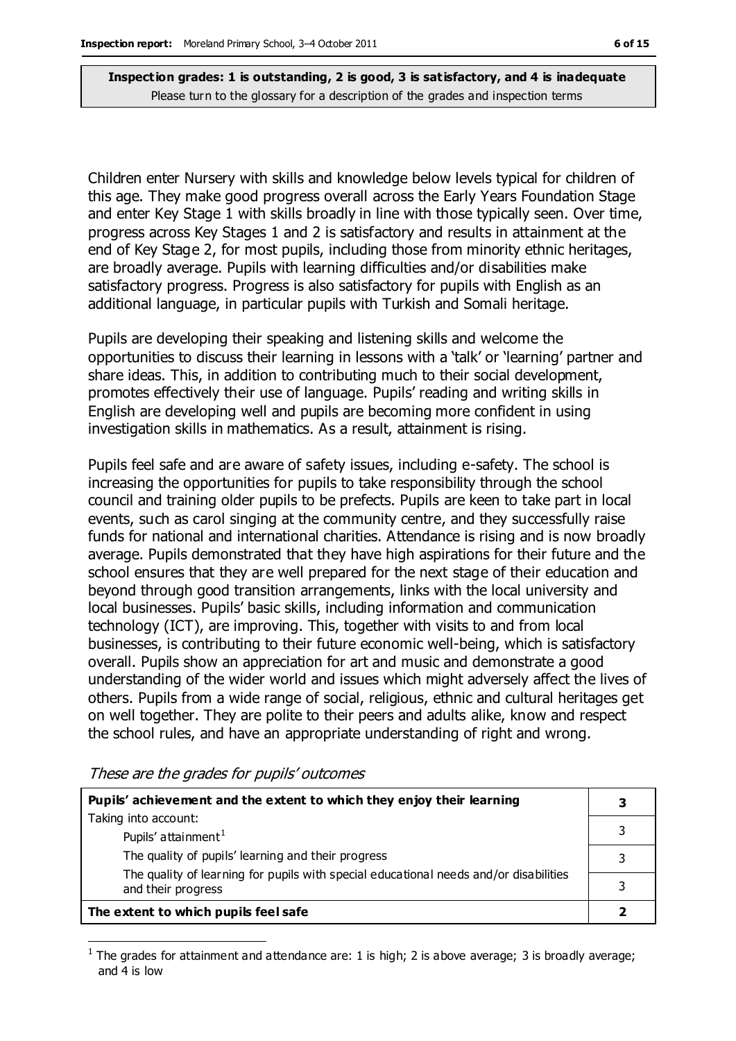Children enter Nursery with skills and knowledge below levels typical for children of this age. They make good progress overall across the Early Years Foundation Stage and enter Key Stage 1 with skills broadly in line with those typically seen. Over time, progress across Key Stages 1 and 2 is satisfactory and results in attainment at the end of Key Stage 2, for most pupils, including those from minority ethnic heritages, are broadly average. Pupils with learning difficulties and/or disabilities make satisfactory progress. Progress is also satisfactory for pupils with English as an additional language, in particular pupils with Turkish and Somali heritage.

Pupils are developing their speaking and listening skills and welcome the opportunities to discuss their learning in lessons with a 'talk' or 'learning' partner and share ideas. This, in addition to contributing much to their social development, promotes effectively their use of language. Pupils' reading and writing skills in English are developing well and pupils are becoming more confident in using investigation skills in mathematics. As a result, attainment is rising.

Pupils feel safe and are aware of safety issues, including e-safety. The school is increasing the opportunities for pupils to take responsibility through the school council and training older pupils to be prefects. Pupils are keen to take part in local events, such as carol singing at the community centre, and they successfully raise funds for national and international charities. Attendance is rising and is now broadly average. Pupils demonstrated that they have high aspirations for their future and the school ensures that they are well prepared for the next stage of their education and beyond through good transition arrangements, links with the local university and local businesses. Pupils' basic skills, including information and communication technology (ICT), are improving. This, together with visits to and from local businesses, is contributing to their future economic well-being, which is satisfactory overall. Pupils show an appreciation for art and music and demonstrate a good understanding of the wider world and issues which might adversely affect the lives of others. Pupils from a wide range of social, religious, ethnic and cultural heritages get on well together. They are polite to their peers and adults alike, know and respect the school rules, and have an appropriate understanding of right and wrong.

| Pupils' achievement and the extent to which they enjoy their learning                                                                                             |  |                                      |
|-------------------------------------------------------------------------------------------------------------------------------------------------------------------|--|--------------------------------------|
| Taking into account:                                                                                                                                              |  |                                      |
| Pupils' attainment <sup>1</sup>                                                                                                                                   |  |                                      |
| The quality of pupils' learning and their progress<br>The quality of learning for pupils with special educational needs and/or disabilities<br>and their progress |  |                                      |
|                                                                                                                                                                   |  | The extent to which pupils feel safe |

These are the grades for pupils' outcomes

 $\overline{a}$ 

<sup>1</sup> The grades for attainment and attendance are: 1 is high; 2 is above average; 3 is broadly average; and 4 is low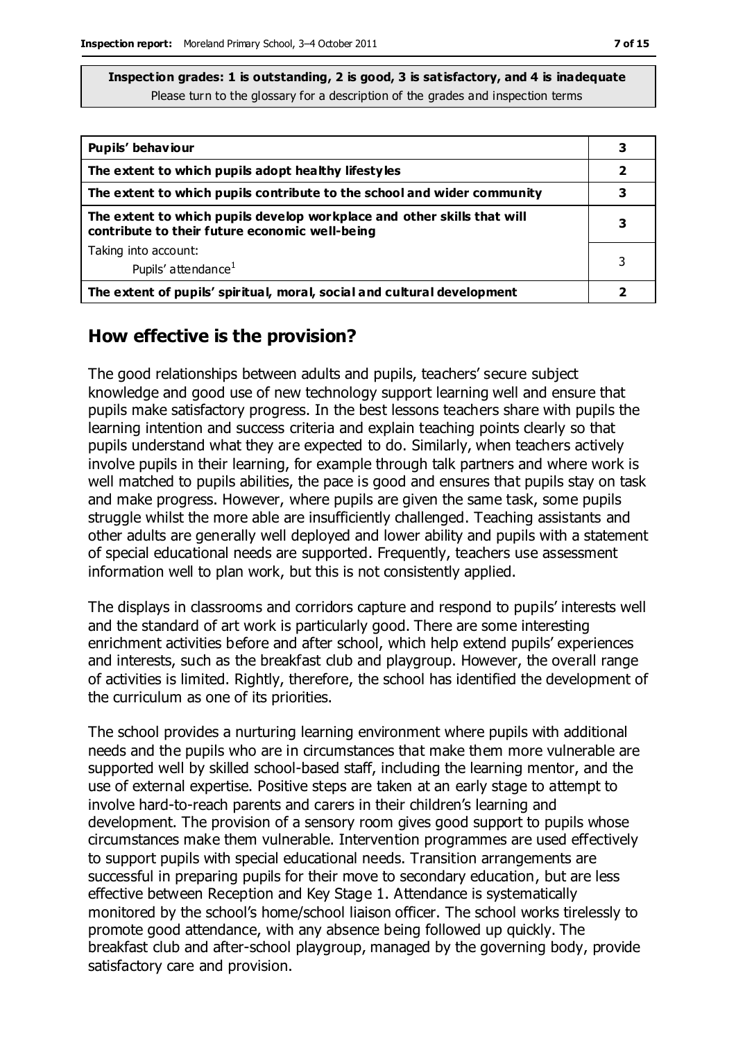| Pupils' behaviour                                                                                                         |   |
|---------------------------------------------------------------------------------------------------------------------------|---|
| The extent to which pupils adopt healthy lifestyles                                                                       | 2 |
| The extent to which pupils contribute to the school and wider community                                                   |   |
| The extent to which pupils develop workplace and other skills that will<br>contribute to their future economic well-being |   |
| Taking into account:                                                                                                      |   |
| Pupils' attendance <sup>1</sup>                                                                                           |   |
| The extent of pupils' spiritual, moral, social and cultural development                                                   |   |

#### **How effective is the provision?**

The good relationships between adults and pupils, teachers' secure subject knowledge and good use of new technology support learning well and ensure that pupils make satisfactory progress. In the best lessons teachers share with pupils the learning intention and success criteria and explain teaching points clearly so that pupils understand what they are expected to do. Similarly, when teachers actively involve pupils in their learning, for example through talk partners and where work is well matched to pupils abilities, the pace is good and ensures that pupils stay on task and make progress. However, where pupils are given the same task, some pupils struggle whilst the more able are insufficiently challenged. Teaching assistants and other adults are generally well deployed and lower ability and pupils with a statement of special educational needs are supported. Frequently, teachers use assessment information well to plan work, but this is not consistently applied.

The displays in classrooms and corridors capture and respond to pupils' interests well and the standard of art work is particularly good. There are some interesting enrichment activities before and after school, which help extend pupils' experiences and interests, such as the breakfast club and playgroup. However, the overall range of activities is limited. Rightly, therefore, the school has identified the development of the curriculum as one of its priorities.

The school provides a nurturing learning environment where pupils with additional needs and the pupils who are in circumstances that make them more vulnerable are supported well by skilled school-based staff, including the learning mentor, and the use of external expertise. Positive steps are taken at an early stage to attempt to involve hard-to-reach parents and carers in their children's learning and development. The provision of a sensory room gives good support to pupils whose circumstances make them vulnerable. Intervention programmes are used effectively to support pupils with special educational needs. Transition arrangements are successful in preparing pupils for their move to secondary education, but are less effective between Reception and Key Stage 1. Attendance is systematically monitored by the school's home/school liaison officer. The school works tirelessly to promote good attendance, with any absence being followed up quickly. The breakfast club and after-school playgroup, managed by the governing body, provide satisfactory care and provision.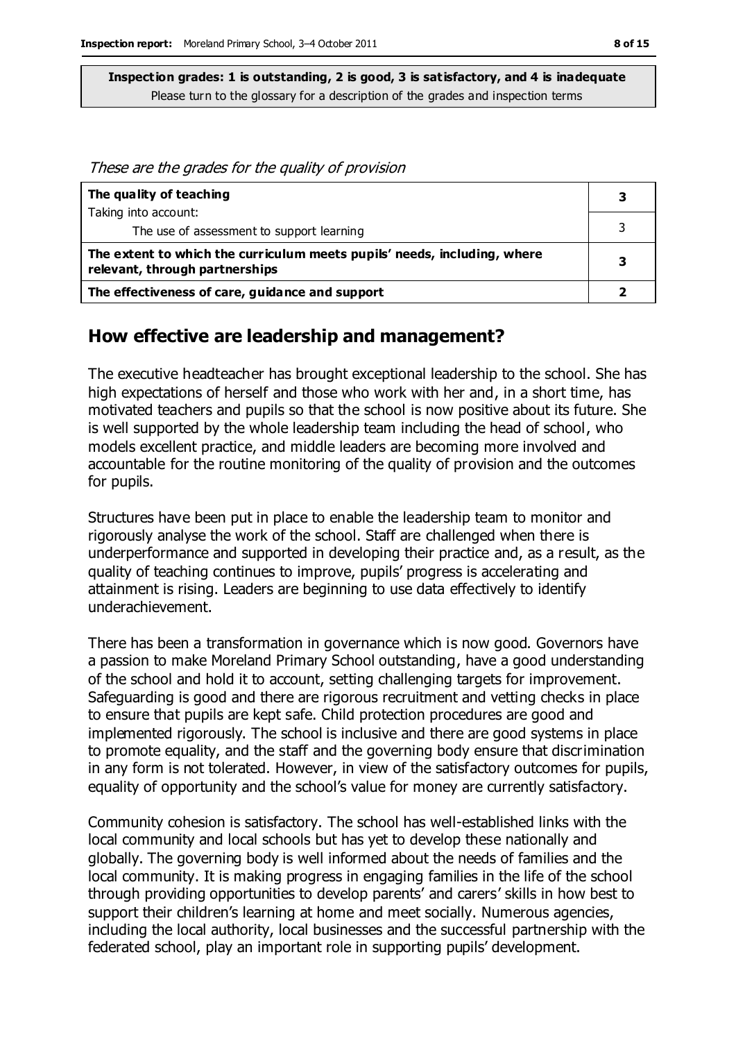These are the grades for the quality of provision

| The quality of teaching                                                                                    |  |
|------------------------------------------------------------------------------------------------------------|--|
| Taking into account:                                                                                       |  |
| The use of assessment to support learning                                                                  |  |
| The extent to which the curriculum meets pupils' needs, including, where<br>relevant, through partnerships |  |
| The effectiveness of care, guidance and support                                                            |  |

#### **How effective are leadership and management?**

The executive headteacher has brought exceptional leadership to the school. She has high expectations of herself and those who work with her and, in a short time, has motivated teachers and pupils so that the school is now positive about its future. She is well supported by the whole leadership team including the head of school, who models excellent practice, and middle leaders are becoming more involved and accountable for the routine monitoring of the quality of provision and the outcomes for pupils.

Structures have been put in place to enable the leadership team to monitor and rigorously analyse the work of the school. Staff are challenged when there is underperformance and supported in developing their practice and, as a result, as the quality of teaching continues to improve, pupils' progress is accelerating and attainment is rising. Leaders are beginning to use data effectively to identify underachievement.

There has been a transformation in governance which is now good. Governors have a passion to make Moreland Primary School outstanding, have a good understanding of the school and hold it to account, setting challenging targets for improvement. Safeguarding is good and there are rigorous recruitment and vetting checks in place to ensure that pupils are kept safe. Child protection procedures are good and implemented rigorously. The school is inclusive and there are good systems in place to promote equality, and the staff and the governing body ensure that discrimination in any form is not tolerated. However, in view of the satisfactory outcomes for pupils, equality of opportunity and the school's value for money are currently satisfactory.

Community cohesion is satisfactory. The school has well-established links with the local community and local schools but has yet to develop these nationally and globally. The governing body is well informed about the needs of families and the local community. It is making progress in engaging families in the life of the school through providing opportunities to develop parents' and carers' skills in how best to support their children's learning at home and meet socially. Numerous agencies, including the local authority, local businesses and the successful partnership with the federated school, play an important role in supporting pupils' development.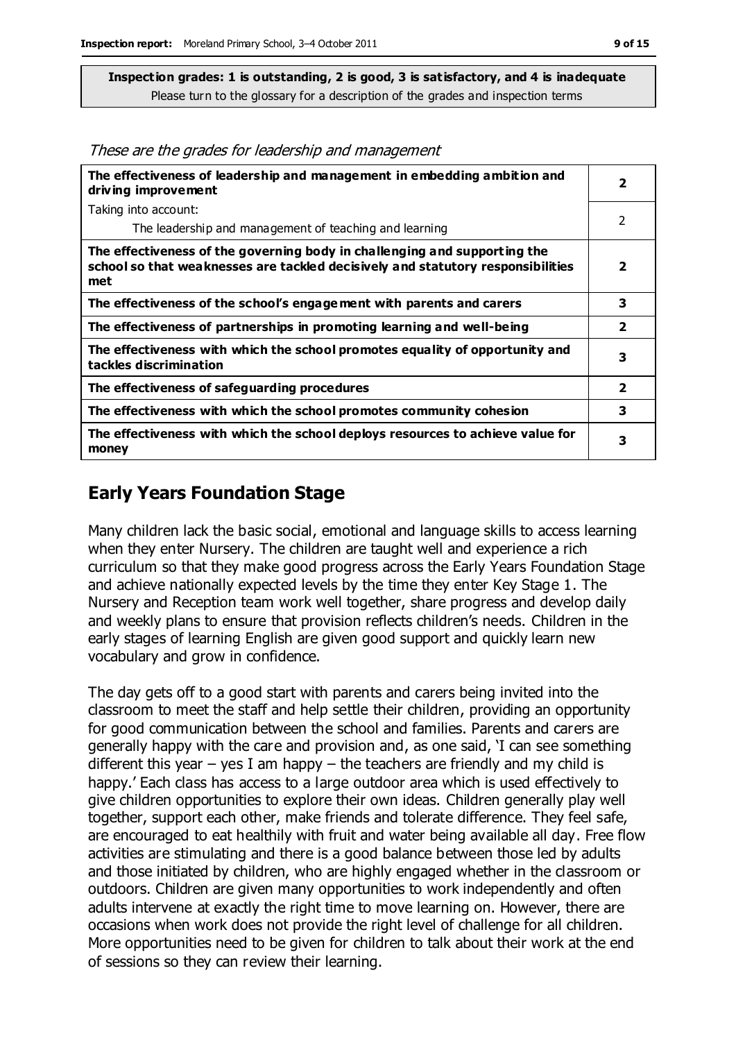These are the grades for leadership and management

| The effectiveness of leadership and management in embedding ambition and<br>driving improvement                                                                     | 2              |
|---------------------------------------------------------------------------------------------------------------------------------------------------------------------|----------------|
| Taking into account:                                                                                                                                                |                |
| The leadership and management of teaching and learning                                                                                                              | 2              |
| The effectiveness of the governing body in challenging and supporting the<br>school so that weaknesses are tackled decisively and statutory responsibilities<br>met | $\overline{2}$ |
| The effectiveness of the school's engagement with parents and carers                                                                                                | 3              |
| The effectiveness of partnerships in promoting learning and well-being                                                                                              | $\overline{2}$ |
| The effectiveness with which the school promotes equality of opportunity and<br>tackles discrimination                                                              | 3              |
| The effectiveness of safeguarding procedures                                                                                                                        | 2              |
| The effectiveness with which the school promotes community cohesion                                                                                                 | 3              |
| The effectiveness with which the school deploys resources to achieve value for<br>money                                                                             | 3              |

#### **Early Years Foundation Stage**

Many children lack the basic social, emotional and language skills to access learning when they enter Nursery. The children are taught well and experience a rich curriculum so that they make good progress across the Early Years Foundation Stage and achieve nationally expected levels by the time they enter Key Stage 1. The Nursery and Reception team work well together, share progress and develop daily and weekly plans to ensure that provision reflects children's needs. Children in the early stages of learning English are given good support and quickly learn new vocabulary and grow in confidence.

The day gets off to a good start with parents and carers being invited into the classroom to meet the staff and help settle their children, providing an opportunity for good communication between the school and families. Parents and carers are generally happy with the care and provision and, as one said, 'I can see something different this year  $-$  yes I am happy  $-$  the teachers are friendly and my child is happy.' Each class has access to a large outdoor area which is used effectively to give children opportunities to explore their own ideas. Children generally play well together, support each other, make friends and tolerate difference. They feel safe, are encouraged to eat healthily with fruit and water being available all day. Free flow activities are stimulating and there is a good balance between those led by adults and those initiated by children, who are highly engaged whether in the classroom or outdoors. Children are given many opportunities to work independently and often adults intervene at exactly the right time to move learning on. However, there are occasions when work does not provide the right level of challenge for all children. More opportunities need to be given for children to talk about their work at the end of sessions so they can review their learning.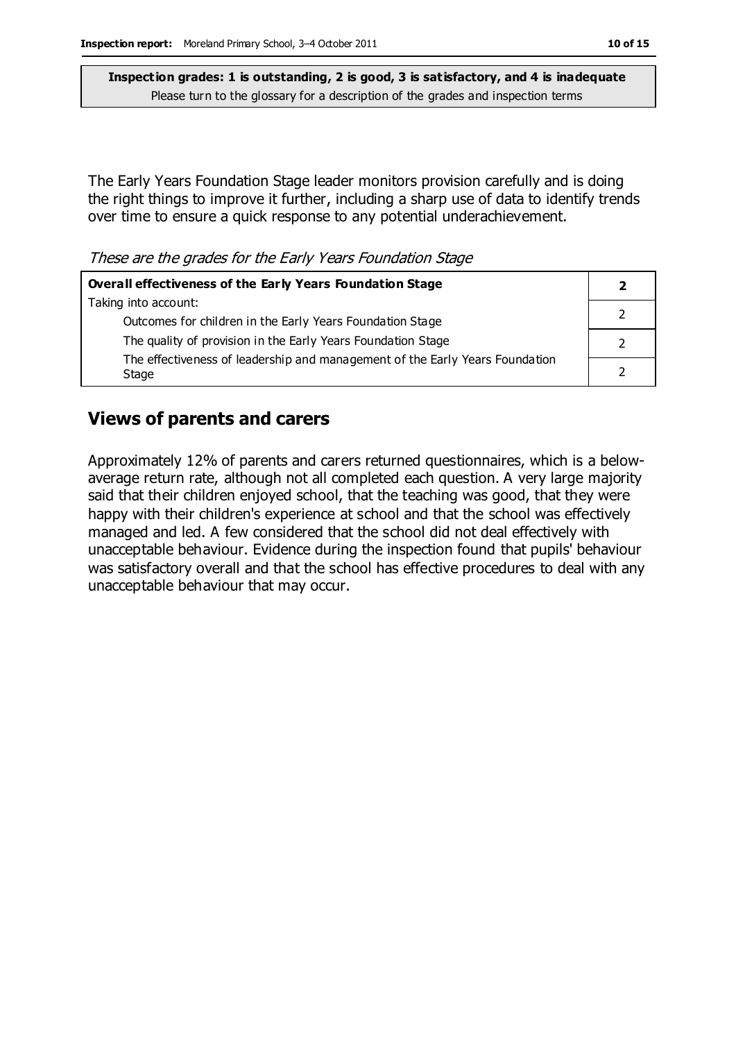The Early Years Foundation Stage leader monitors provision carefully and is doing the right things to improve it further, including a sharp use of data to identify trends over time to ensure a quick response to any potential underachievement.

These are the grades for the Early Years Foundation Stage

| <b>Overall effectiveness of the Early Years Foundation Stage</b>                      |  |  |
|---------------------------------------------------------------------------------------|--|--|
| Taking into account:                                                                  |  |  |
| Outcomes for children in the Early Years Foundation Stage                             |  |  |
| The quality of provision in the Early Years Foundation Stage                          |  |  |
| The effectiveness of leadership and management of the Early Years Foundation<br>Stage |  |  |

#### **Views of parents and carers**

Approximately 12% of parents and carers returned questionnaires, which is a belowaverage return rate, although not all completed each question. A very large majority said that their children enjoyed school, that the teaching was good, that they were happy with their children's experience at school and that the school was effectively managed and led. A few considered that the school did not deal effectively with unacceptable behaviour. Evidence during the inspection found that pupils' behaviour was satisfactory overall and that the school has effective procedures to deal with any unacceptable behaviour that may occur.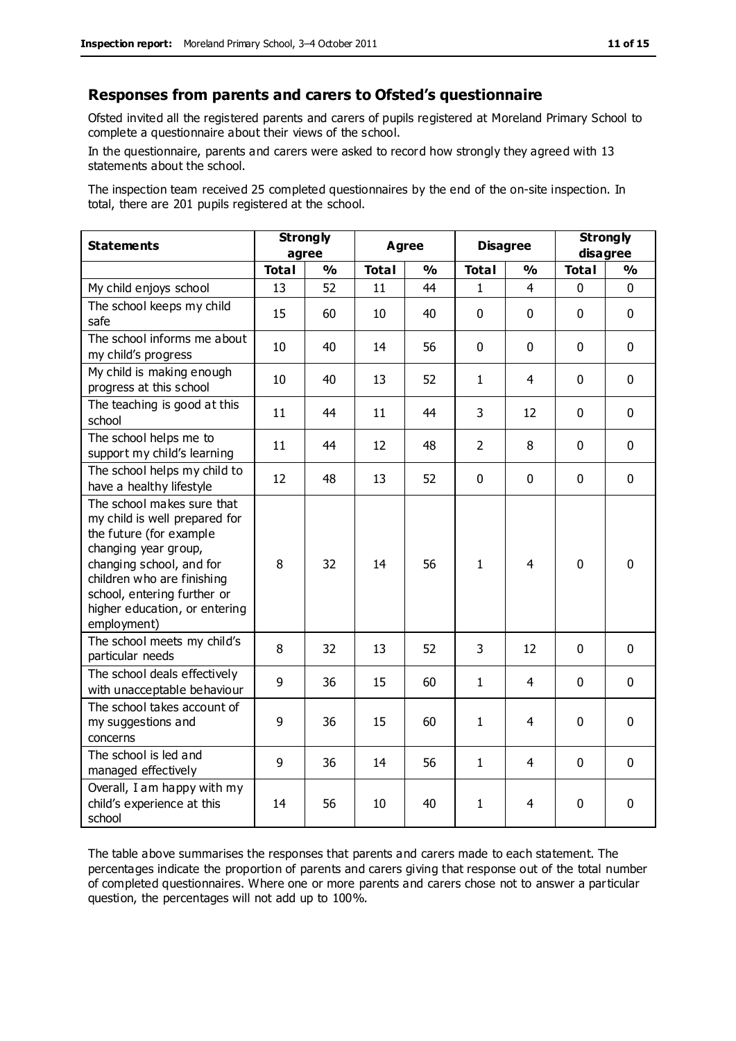#### **Responses from parents and carers to Ofsted's questionnaire**

Ofsted invited all the registered parents and carers of pupils registered at Moreland Primary School to complete a questionnaire about their views of the school.

In the questionnaire, parents and carers were asked to record how strongly they agreed with 13 statements about the school.

The inspection team received 25 completed questionnaires by the end of the on-site inspection. In total, there are 201 pupils registered at the school.

| <b>Statements</b>                                                                                                                                                                                                                                       | <b>Strongly</b><br>agree |               | <b>Agree</b> |               | <b>Disagree</b> |                | <b>Strongly</b><br>disagree |               |
|---------------------------------------------------------------------------------------------------------------------------------------------------------------------------------------------------------------------------------------------------------|--------------------------|---------------|--------------|---------------|-----------------|----------------|-----------------------------|---------------|
|                                                                                                                                                                                                                                                         | <b>Total</b>             | $\frac{0}{0}$ | <b>Total</b> | $\frac{0}{0}$ | <b>Total</b>    | $\frac{1}{2}$  | <b>Total</b>                | $\frac{1}{2}$ |
| My child enjoys school                                                                                                                                                                                                                                  | 13                       | 52            | 11           | 44            | 1               | 4              | 0                           | $\Omega$      |
| The school keeps my child<br>safe                                                                                                                                                                                                                       | 15                       | 60            | 10           | 40            | $\pmb{0}$       | $\mathbf 0$    | $\mathbf{0}$                | $\mathbf 0$   |
| The school informs me about<br>my child's progress                                                                                                                                                                                                      | 10                       | 40            | 14           | 56            | $\mathbf 0$     | $\mathbf 0$    | $\mathbf 0$                 | $\mathbf 0$   |
| My child is making enough<br>progress at this school                                                                                                                                                                                                    | 10                       | 40            | 13           | 52            | $\mathbf{1}$    | 4              | $\mathbf 0$                 | $\mathbf 0$   |
| The teaching is good at this<br>school                                                                                                                                                                                                                  | 11                       | 44            | 11           | 44            | 3               | 12             | $\mathbf 0$                 | $\mathbf 0$   |
| The school helps me to<br>support my child's learning                                                                                                                                                                                                   | 11                       | 44            | 12           | 48            | $\overline{2}$  | 8              | $\mathbf 0$                 | $\mathbf 0$   |
| The school helps my child to<br>have a healthy lifestyle                                                                                                                                                                                                | 12                       | 48            | 13           | 52            | 0               | $\mathbf 0$    | $\mathbf 0$                 | $\mathbf 0$   |
| The school makes sure that<br>my child is well prepared for<br>the future (for example<br>changing year group,<br>changing school, and for<br>children who are finishing<br>school, entering further or<br>higher education, or entering<br>employment) | 8                        | 32            | 14           | 56            | $\mathbf{1}$    | $\overline{4}$ | $\mathbf 0$                 | $\mathbf 0$   |
| The school meets my child's<br>particular needs                                                                                                                                                                                                         | 8                        | 32            | 13           | 52            | 3               | 12             | $\mathbf 0$                 | $\mathbf 0$   |
| The school deals effectively<br>with unacceptable behaviour                                                                                                                                                                                             | 9                        | 36            | 15           | 60            | $\mathbf{1}$    | 4              | $\mathbf 0$                 | $\mathbf 0$   |
| The school takes account of<br>my suggestions and<br>concerns                                                                                                                                                                                           | 9                        | 36            | 15           | 60            | $\mathbf{1}$    | 4              | $\mathbf 0$                 | $\mathbf 0$   |
| The school is led and<br>managed effectively                                                                                                                                                                                                            | 9                        | 36            | 14           | 56            | $\mathbf{1}$    | 4              | $\mathbf 0$                 | $\mathbf 0$   |
| Overall, I am happy with my<br>child's experience at this<br>school                                                                                                                                                                                     | 14                       | 56            | 10           | 40            | $\mathbf{1}$    | 4              | $\mathbf 0$                 | 0             |

The table above summarises the responses that parents and carers made to each statement. The percentages indicate the proportion of parents and carers giving that response out of the total number of completed questionnaires. Where one or more parents and carers chose not to answer a particular question, the percentages will not add up to 100%.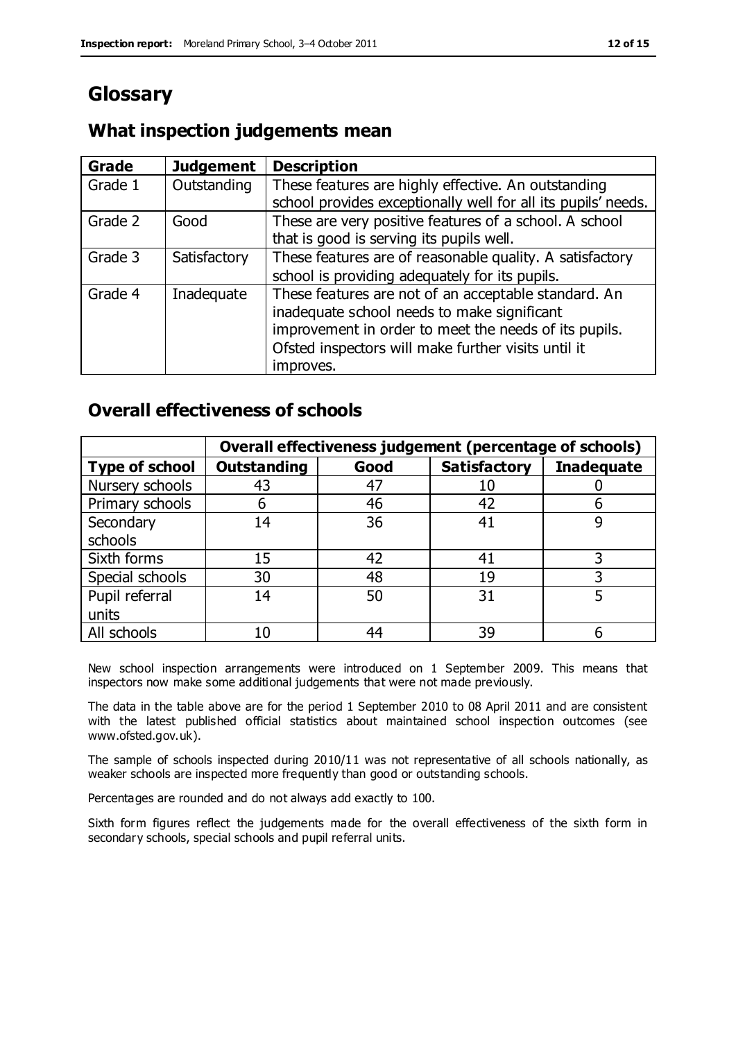# **Glossary**

### **What inspection judgements mean**

| <b>Grade</b> | <b>Judgement</b> | <b>Description</b>                                                                                                   |
|--------------|------------------|----------------------------------------------------------------------------------------------------------------------|
| Grade 1      | Outstanding      | These features are highly effective. An outstanding<br>school provides exceptionally well for all its pupils' needs. |
|              |                  |                                                                                                                      |
| Grade 2      | Good             | These are very positive features of a school. A school                                                               |
|              |                  | that is good is serving its pupils well.                                                                             |
| Grade 3      | Satisfactory     | These features are of reasonable quality. A satisfactory                                                             |
|              |                  | school is providing adequately for its pupils.                                                                       |
| Grade 4      | Inadequate       | These features are not of an acceptable standard. An                                                                 |
|              |                  | inadequate school needs to make significant                                                                          |
|              |                  | improvement in order to meet the needs of its pupils.                                                                |
|              |                  | Ofsted inspectors will make further visits until it                                                                  |
|              |                  | improves.                                                                                                            |

#### **Overall effectiveness of schools**

|                       | Overall effectiveness judgement (percentage of schools) |      |                     |                   |
|-----------------------|---------------------------------------------------------|------|---------------------|-------------------|
| <b>Type of school</b> | <b>Outstanding</b>                                      | Good | <b>Satisfactory</b> | <b>Inadequate</b> |
| Nursery schools       | 43                                                      | 47   | 10                  |                   |
| Primary schools       | h                                                       | 46   | 42                  |                   |
| Secondary             | 14                                                      | 36   | 41                  |                   |
| schools               |                                                         |      |                     |                   |
| Sixth forms           | 15                                                      | 42   | 41                  | 3                 |
| Special schools       | 30                                                      | 48   | 19                  |                   |
| Pupil referral        | 14                                                      | 50   | 31                  |                   |
| units                 |                                                         |      |                     |                   |
| All schools           | 10                                                      | 44   | 39                  |                   |

New school inspection arrangements were introduced on 1 September 2009. This means that inspectors now make some additional judgements that were not made previously.

The data in the table above are for the period 1 September 2010 to 08 April 2011 and are consistent with the latest published official statistics about maintained school inspection outcomes (see www.ofsted.gov.uk).

The sample of schools inspected during 2010/11 was not representative of all schools nationally, as weaker schools are inspected more frequently than good or outstanding schools.

Percentages are rounded and do not always add exactly to 100.

Sixth form figures reflect the judgements made for the overall effectiveness of the sixth form in secondary schools, special schools and pupil referral units.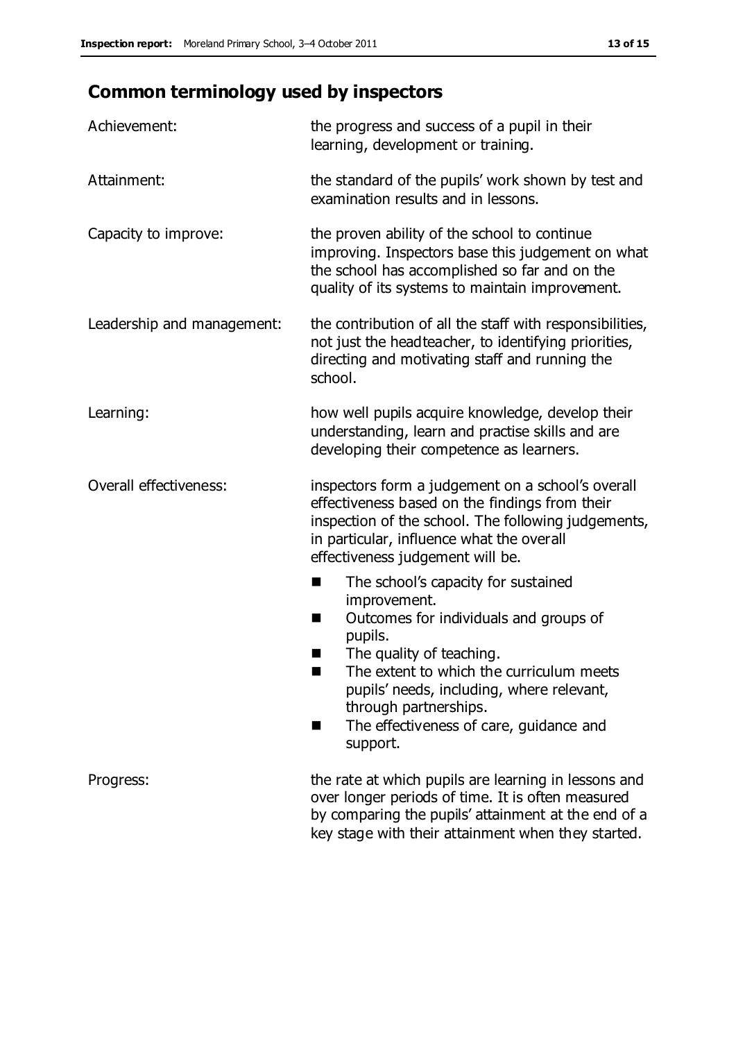# **Common terminology used by inspectors**

| Achievement:                  | the progress and success of a pupil in their<br>learning, development or training.                                                                                                                                                                                                                                      |  |  |
|-------------------------------|-------------------------------------------------------------------------------------------------------------------------------------------------------------------------------------------------------------------------------------------------------------------------------------------------------------------------|--|--|
| Attainment:                   | the standard of the pupils' work shown by test and<br>examination results and in lessons.                                                                                                                                                                                                                               |  |  |
| Capacity to improve:          | the proven ability of the school to continue<br>improving. Inspectors base this judgement on what<br>the school has accomplished so far and on the<br>quality of its systems to maintain improvement.                                                                                                                   |  |  |
| Leadership and management:    | the contribution of all the staff with responsibilities,<br>not just the headteacher, to identifying priorities,<br>directing and motivating staff and running the<br>school.                                                                                                                                           |  |  |
| Learning:                     | how well pupils acquire knowledge, develop their<br>understanding, learn and practise skills and are<br>developing their competence as learners.                                                                                                                                                                        |  |  |
| <b>Overall effectiveness:</b> | inspectors form a judgement on a school's overall<br>effectiveness based on the findings from their<br>inspection of the school. The following judgements,<br>in particular, influence what the overall<br>effectiveness judgement will be.                                                                             |  |  |
|                               | The school's capacity for sustained<br>improvement.<br>Outcomes for individuals and groups of<br>ш<br>pupils.<br>The quality of teaching.<br>The extent to which the curriculum meets<br>pupils' needs, including, where relevant,<br>through partnerships.<br>The effectiveness of care, guidance and<br>٠<br>support. |  |  |
| Progress:                     | the rate at which pupils are learning in lessons and<br>over longer periods of time. It is often measured<br>by comparing the pupils' attainment at the end of a<br>key stage with their attainment when they started.                                                                                                  |  |  |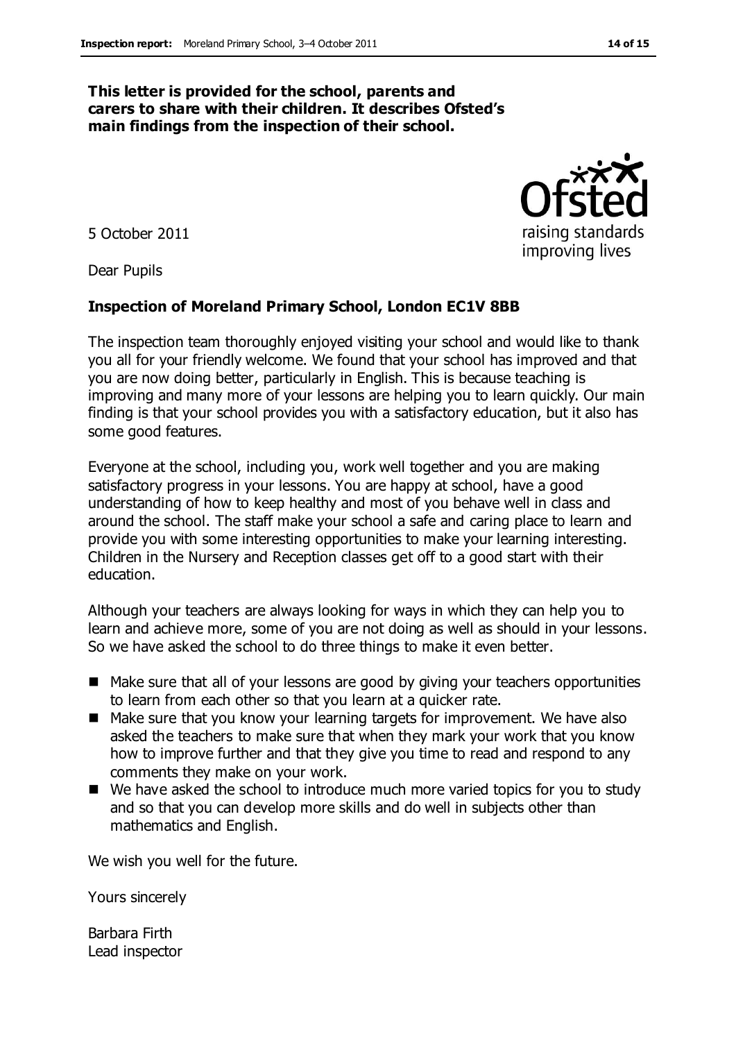#### **This letter is provided for the school, parents and carers to share with their children. It describes Ofsted's main findings from the inspection of their school.**

5 October 2011

Dear Pupils

#### **Inspection of Moreland Primary School, London EC1V 8BB**

The inspection team thoroughly enjoyed visiting your school and would like to thank you all for your friendly welcome. We found that your school has improved and that you are now doing better, particularly in English. This is because teaching is improving and many more of your lessons are helping you to learn quickly. Our main finding is that your school provides you with a satisfactory education, but it also has some good features.

Everyone at the school, including you, work well together and you are making satisfactory progress in your lessons. You are happy at school, have a good understanding of how to keep healthy and most of you behave well in class and around the school. The staff make your school a safe and caring place to learn and provide you with some interesting opportunities to make your learning interesting. Children in the Nursery and Reception classes get off to a good start with their education.

Although your teachers are always looking for ways in which they can help you to learn and achieve more, some of you are not doing as well as should in your lessons. So we have asked the school to do three things to make it even better.

- Make sure that all of your lessons are good by giving your teachers opportunities to learn from each other so that you learn at a quicker rate.
- Make sure that you know your learning targets for improvement. We have also asked the teachers to make sure that when they mark your work that you know how to improve further and that they give you time to read and respond to any comments they make on your work.
- We have asked the school to introduce much more varied topics for you to study and so that you can develop more skills and do well in subjects other than mathematics and English.

We wish you well for the future.

Yours sincerely

Barbara Firth Lead inspector